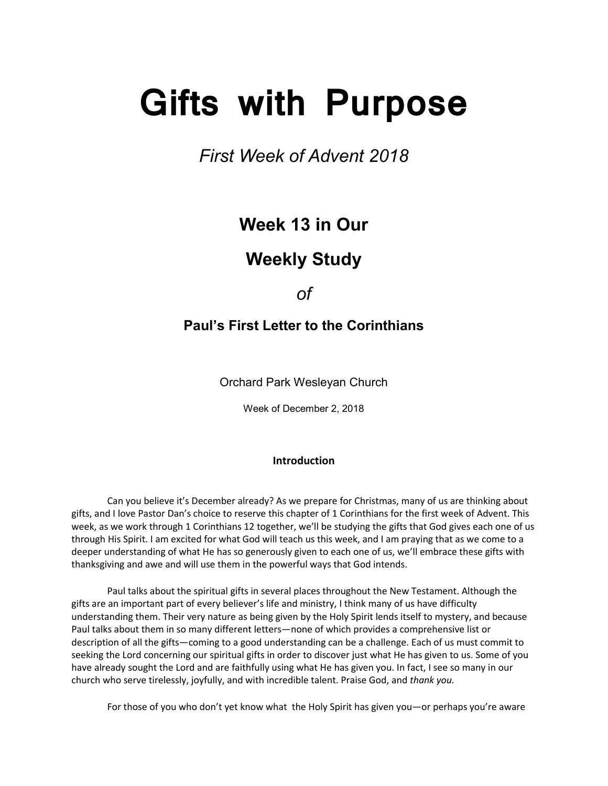# **Gifts with Purpose**

*First Week of Advent 2018*

## **Week 13 in Our**

## **Weekly Study**

*of*

### **Paul's First Letter to the Corinthians**

Orchard Park Wesleyan Church

Week of December 2, 2018

#### **Introduction**

 Can you believe it's December already? As we prepare for Christmas, many of us are thinking about gifts, and I love Pastor Dan's choice to reserve this chapter of 1 Corinthians for the first week of Advent. This week, as we work through 1 Corinthians 12 together, we'll be studying the gifts that God gives each one of us through His Spirit. I am excited for what God will teach us this week, and I am praying that as we come to a deeper understanding of what He has so generously given to each one of us, we'll embrace these gifts with thanksgiving and awe and will use them in the powerful ways that God intends.

Paul talks about the spiritual gifts in several places throughout the New Testament. Although the gifts are an important part of every believer's life and ministry, I think many of us have difficulty understanding them. Their very nature as being given by the Holy Spirit lends itself to mystery, and because Paul talks about them in so many different letters—none of which provides a comprehensive list or description of all the gifts—coming to a good understanding can be a challenge. Each of us must commit to seeking the Lord concerning our spiritual gifts in order to discover just what He has given to us. Some of you have already sought the Lord and are faithfully using what He has given you. In fact, I see so many in our church who serve tirelessly, joyfully, and with incredible talent. Praise God, and *thank you.* 

For those of you who don't yet know what the Holy Spirit has given you—or perhaps you're aware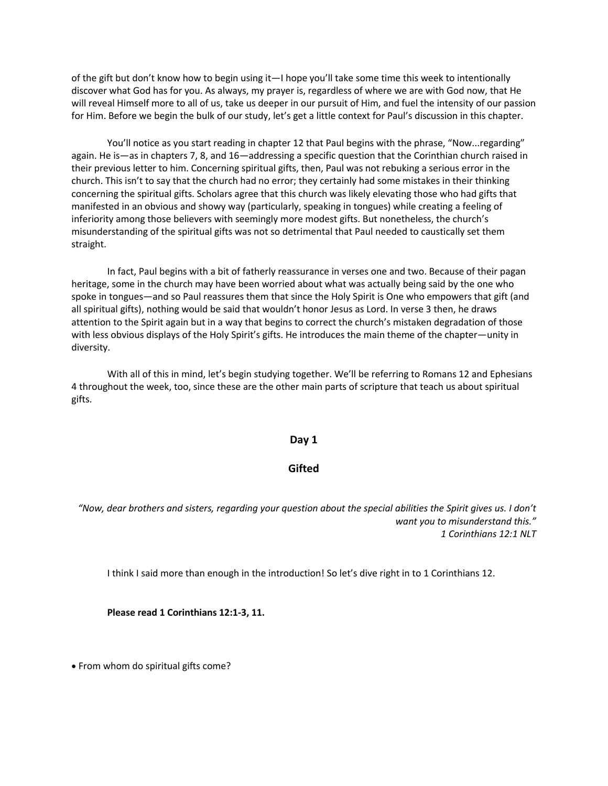of the gift but don't know how to begin using it—I hope you'll take some time this week to intentionally discover what God has for you. As always, my prayer is, regardless of where we are with God now, that He will reveal Himself more to all of us, take us deeper in our pursuit of Him, and fuel the intensity of our passion for Him. Before we begin the bulk of our study, let's get a little context for Paul's discussion in this chapter.

You'll notice as you start reading in chapter 12 that Paul begins with the phrase, "Now...regarding" again. He is—as in chapters 7, 8, and 16—addressing a specific question that the Corinthian church raised in their previous letter to him. Concerning spiritual gifts, then, Paul was not rebuking a serious error in the church. This isn't to say that the church had no error; they certainly had some mistakes in their thinking concerning the spiritual gifts. Scholars agree that this church was likely elevating those who had gifts that manifested in an obvious and showy way (particularly, speaking in tongues) while creating a feeling of inferiority among those believers with seemingly more modest gifts. But nonetheless, the church's misunderstanding of the spiritual gifts was not so detrimental that Paul needed to caustically set them straight.

In fact, Paul begins with a bit of fatherly reassurance in verses one and two. Because of their pagan heritage, some in the church may have been worried about what was actually being said by the one who spoke in tongues—and so Paul reassures them that since the Holy Spirit is One who empowers that gift (and all spiritual gifts), nothing would be said that wouldn't honor Jesus as Lord. In verse 3 then, he draws attention to the Spirit again but in a way that begins to correct the church's mistaken degradation of those with less obvious displays of the Holy Spirit's gifts. He introduces the main theme of the chapter—unity in diversity.

 With all of this in mind, let's begin studying together. We'll be referring to Romans 12 and Ephesians 4 throughout the week, too, since these are the other main parts of scripture that teach us about spiritual gifts.

#### **Day 1**

#### **Gifted**

*"Now, dear brothers and sisters, regarding your question about the special abilities the Spirit gives us. I don't want you to misunderstand this." 1 Corinthians 12:1 NLT*

I think I said more than enough in the introduction! So let's dive right in to 1 Corinthians 12.

**Please read 1 Corinthians 12:1-3, 11.**

• From whom do spiritual gifts come?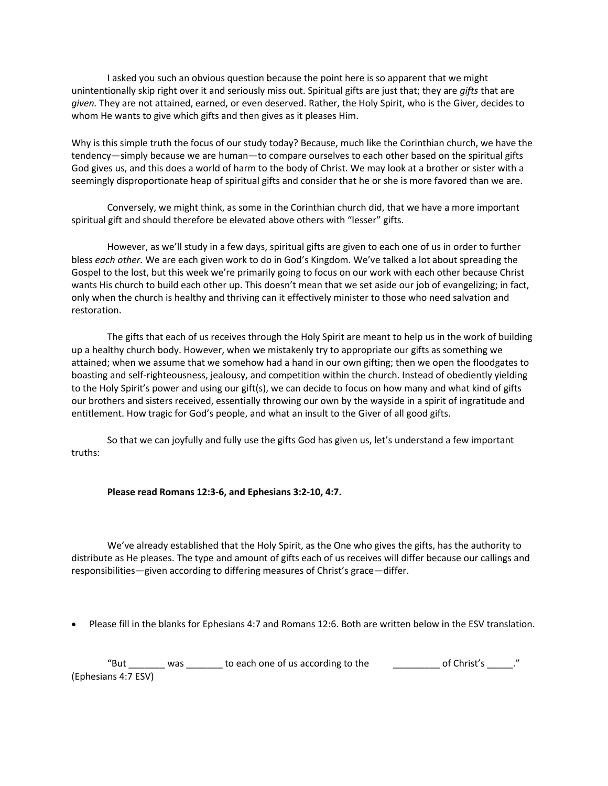I asked you such an obvious question because the point here is so apparent that we might unintentionally skip right over it and seriously miss out. Spiritual gifts are just that; they are *gifts* that are *given.* They are not attained, earned, or even deserved. Rather, the Holy Spirit, who is the Giver, decides to whom He wants to give which gifts and then gives as it pleases Him.

Why is this simple truth the focus of our study today? Because, much like the Corinthian church, we have the tendency—simply because we are human—to compare ourselves to each other based on the spiritual gifts God gives us, and this does a world of harm to the body of Christ. We may look at a brother or sister with a seemingly disproportionate heap of spiritual gifts and consider that he or she is more favored than we are.

Conversely, we might think, as some in the Corinthian church did, that we have a more important spiritual gift and should therefore be elevated above others with "lesser" gifts.

However, as we'll study in a few days, spiritual gifts are given to each one of us in order to further bless *each other.* We are each given work to do in God's Kingdom. We've talked a lot about spreading the Gospel to the lost, but this week we're primarily going to focus on our work with each other because Christ wants His church to build each other up. This doesn't mean that we set aside our job of evangelizing; in fact, only when the church is healthy and thriving can it effectively minister to those who need salvation and restoration.

The gifts that each of us receives through the Holy Spirit are meant to help us in the work of building up a healthy church body. However, when we mistakenly try to appropriate our gifts as something we attained; when we assume that we somehow had a hand in our own gifting; then we open the floodgates to boasting and self-righteousness, jealousy, and competition within the church. Instead of obediently yielding to the Holy Spirit's power and using our gift(s), we can decide to focus on how many and what kind of gifts our brothers and sisters received, essentially throwing our own by the wayside in a spirit of ingratitude and entitlement. How tragic for God's people, and what an insult to the Giver of all good gifts.

So that we can joyfully and fully use the gifts God has given us, let's understand a few important truths:

#### **Please read Romans 12:3-6, and Ephesians 3:2-10, 4:7.**

We've already established that the Holy Spirit, as the One who gives the gifts, has the authority to distribute as He pleases. The type and amount of gifts each of us receives will differ because our callings and responsibilities—given according to differing measures of Christ's grace—differ.

• Please fill in the blanks for Ephesians 4:7 and Romans 12:6. Both are written below in the ESV translation.

"But \_\_\_\_\_\_\_ was \_\_\_\_\_\_\_ to each one of us according to the  $\qquad \qquad \qquad$  of Christ's \_\_\_\_\_." (Ephesians 4:7 ESV)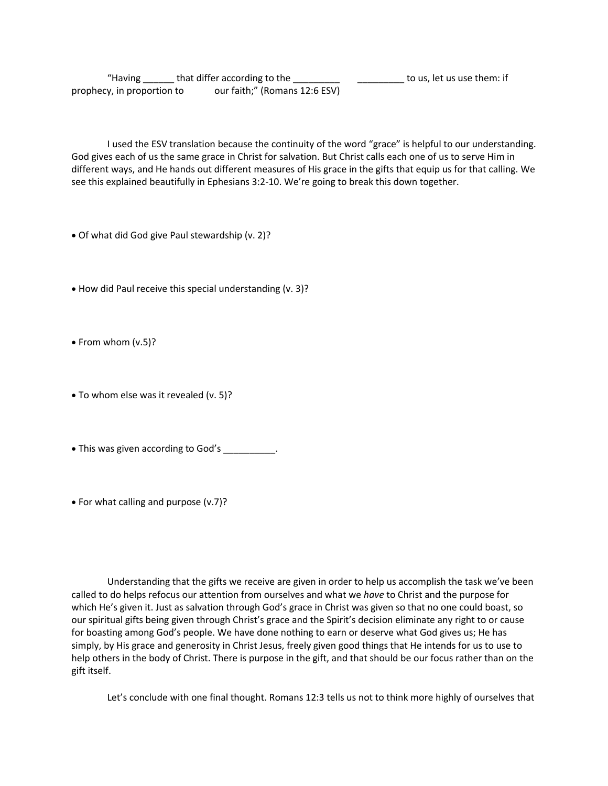"Having \_\_\_\_\_\_ that differ according to the \_\_\_\_\_\_\_\_\_ \_\_\_\_\_\_\_\_\_ to us, let us use them: if prophecy, in proportion to our faith;" (Romans 12:6 ESV)

I used the ESV translation because the continuity of the word "grace" is helpful to our understanding. God gives each of us the same grace in Christ for salvation. But Christ calls each one of us to serve Him in different ways, and He hands out different measures of His grace in the gifts that equip us for that calling. We see this explained beautifully in Ephesians 3:2-10. We're going to break this down together.

- Of what did God give Paul stewardship (v. 2)?
- How did Paul receive this special understanding (v. 3)?
- From whom (v.5)?
- To whom else was it revealed (v. 5)?
- This was given according to God's .
- For what calling and purpose (v.7)?

Understanding that the gifts we receive are given in order to help us accomplish the task we've been called to do helps refocus our attention from ourselves and what we *have* to Christ and the purpose for which He's given it. Just as salvation through God's grace in Christ was given so that no one could boast, so our spiritual gifts being given through Christ's grace and the Spirit's decision eliminate any right to or cause for boasting among God's people. We have done nothing to earn or deserve what God gives us; He has simply, by His grace and generosity in Christ Jesus, freely given good things that He intends for us to use to help others in the body of Christ. There is purpose in the gift, and that should be our focus rather than on the gift itself.

Let's conclude with one final thought. Romans 12:3 tells us not to think more highly of ourselves that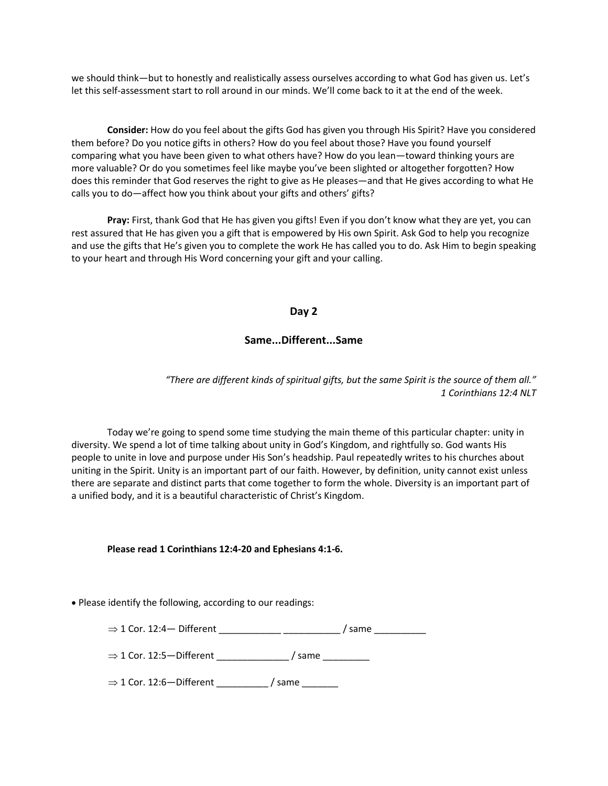we should think—but to honestly and realistically assess ourselves according to what God has given us. Let's let this self-assessment start to roll around in our minds. We'll come back to it at the end of the week.

**Consider:** How do you feel about the gifts God has given you through His Spirit? Have you considered them before? Do you notice gifts in others? How do you feel about those? Have you found yourself comparing what you have been given to what others have? How do you lean—toward thinking yours are more valuable? Or do you sometimes feel like maybe you've been slighted or altogether forgotten? How does this reminder that God reserves the right to give as He pleases—and that He gives according to what He calls you to do—affect how you think about your gifts and others' gifts?

**Pray:** First, thank God that He has given you gifts! Even if you don't know what they are yet, you can rest assured that He has given you a gift that is empowered by His own Spirit. Ask God to help you recognize and use the gifts that He's given you to complete the work He has called you to do. Ask Him to begin speaking to your heart and through His Word concerning your gift and your calling.

#### **Day 2**

#### **Same...Different...Same**

*"There are different kinds of spiritual gifts, but the same Spirit is the source of them all." 1 Corinthians 12:4 NLT*

Today we're going to spend some time studying the main theme of this particular chapter: unity in diversity. We spend a lot of time talking about unity in God's Kingdom, and rightfully so. God wants His people to unite in love and purpose under His Son's headship. Paul repeatedly writes to his churches about uniting in the Spirit. Unity is an important part of our faith. However, by definition, unity cannot exist unless there are separate and distinct parts that come together to form the whole. Diversity is an important part of a unified body, and it is a beautiful characteristic of Christ's Kingdom.

#### **Please read 1 Corinthians 12:4-20 and Ephesians 4:1-6.**

• Please identify the following, according to our readings:

1 Cor. 12:4— Different \_\_\_\_\_\_\_\_\_\_\_\_ \_\_\_\_\_\_\_\_\_\_\_ / same \_\_\_\_\_\_\_\_\_\_

 $\Rightarrow$  1 Cor. 12:5—Different / same

 $\Rightarrow$  1 Cor. 12:6-Different \_\_\_\_\_\_\_\_ / same \_\_\_\_\_\_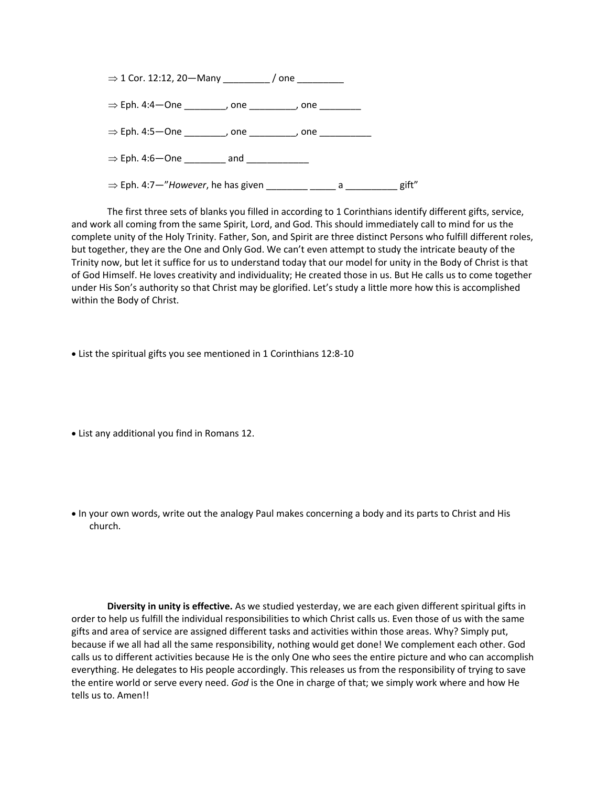

The first three sets of blanks you filled in according to 1 Corinthians identify different gifts, service, and work all coming from the same Spirit, Lord, and God. This should immediately call to mind for us the complete unity of the Holy Trinity. Father, Son, and Spirit are three distinct Persons who fulfill different roles, but together, they are the One and Only God. We can't even attempt to study the intricate beauty of the Trinity now, but let it suffice for us to understand today that our model for unity in the Body of Christ is that of God Himself. He loves creativity and individuality; He created those in us. But He calls us to come together under His Son's authority so that Christ may be glorified. Let's study a little more how this is accomplished within the Body of Christ.

• List the spiritual gifts you see mentioned in 1 Corinthians 12:8-10

• List any additional you find in Romans 12.

• In your own words, write out the analogy Paul makes concerning a body and its parts to Christ and His church.

**Diversity in unity is effective.** As we studied yesterday, we are each given different spiritual gifts in order to help us fulfill the individual responsibilities to which Christ calls us. Even those of us with the same gifts and area of service are assigned different tasks and activities within those areas. Why? Simply put, because if we all had all the same responsibility, nothing would get done! We complement each other. God calls us to different activities because He is the only One who sees the entire picture and who can accomplish everything. He delegates to His people accordingly. This releases us from the responsibility of trying to save the entire world or serve every need. *God* is the One in charge of that; we simply work where and how He tells us to. Amen!!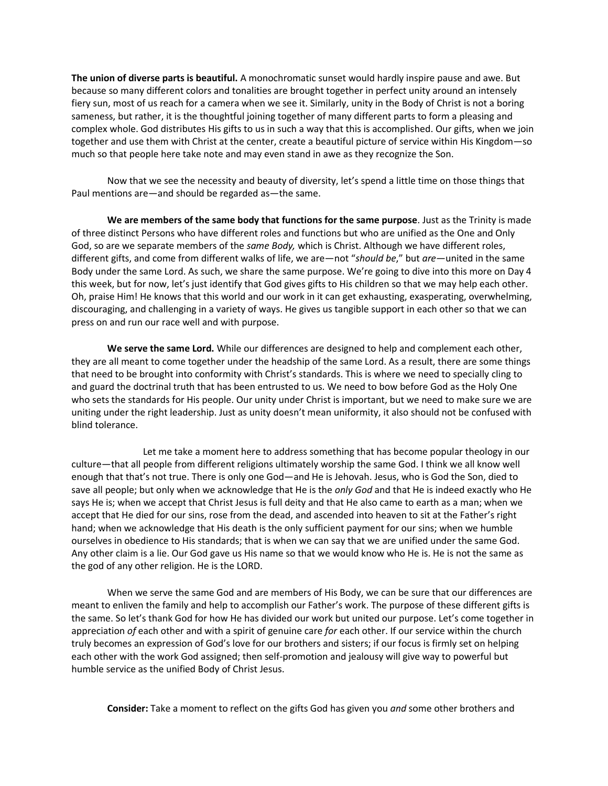**The union of diverse parts is beautiful.** A monochromatic sunset would hardly inspire pause and awe. But because so many different colors and tonalities are brought together in perfect unity around an intensely fiery sun, most of us reach for a camera when we see it. Similarly, unity in the Body of Christ is not a boring sameness, but rather, it is the thoughtful joining together of many different parts to form a pleasing and complex whole. God distributes His gifts to us in such a way that this is accomplished. Our gifts, when we join together and use them with Christ at the center, create a beautiful picture of service within His Kingdom—so much so that people here take note and may even stand in awe as they recognize the Son.

Now that we see the necessity and beauty of diversity, let's spend a little time on those things that Paul mentions are—and should be regarded as—the same.

**We are members of the same body that functions for the same purpose**. Just as the Trinity is made of three distinct Persons who have different roles and functions but who are unified as the One and Only God, so are we separate members of the *same Body,* which is Christ. Although we have different roles, different gifts, and come from different walks of life, we are—not "*should be*," but *are—*united in the same Body under the same Lord. As such, we share the same purpose. We're going to dive into this more on Day 4 this week, but for now, let's just identify that God gives gifts to His children so that we may help each other. Oh, praise Him! He knows that this world and our work in it can get exhausting, exasperating, overwhelming, discouraging, and challenging in a variety of ways. He gives us tangible support in each other so that we can press on and run our race well and with purpose.

**We serve the same Lord.** While our differences are designed to help and complement each other, they are all meant to come together under the headship of the same Lord. As a result, there are some things that need to be brought into conformity with Christ's standards. This is where we need to specially cling to and guard the doctrinal truth that has been entrusted to us. We need to bow before God as the Holy One who sets the standards for His people. Our unity under Christ is important, but we need to make sure we are uniting under the right leadership. Just as unity doesn't mean uniformity, it also should not be confused with blind tolerance.

Let me take a moment here to address something that has become popular theology in our culture—that all people from different religions ultimately worship the same God. I think we all know well enough that that's not true. There is only one God—and He is Jehovah. Jesus, who is God the Son, died to save all people; but only when we acknowledge that He is the *only God* and that He is indeed exactly who He says He is; when we accept that Christ Jesus is full deity and that He also came to earth as a man; when we accept that He died for our sins, rose from the dead, and ascended into heaven to sit at the Father's right hand; when we acknowledge that His death is the only sufficient payment for our sins; when we humble ourselves in obedience to His standards; that is when we can say that we are unified under the same God. Any other claim is a lie. Our God gave us His name so that we would know who He is. He is not the same as the god of any other religion. He is the LORD.

When we serve the same God and are members of His Body, we can be sure that our differences are meant to enliven the family and help to accomplish our Father's work. The purpose of these different gifts is the same. So let's thank God for how He has divided our work but united our purpose. Let's come together in appreciation *of* each other and with a spirit of genuine care *for* each other. If our service within the church truly becomes an expression of God's love for our brothers and sisters; if our focus is firmly set on helping each other with the work God assigned; then self-promotion and jealousy will give way to powerful but humble service as the unified Body of Christ Jesus.

**Consider:** Take a moment to reflect on the gifts God has given you *and* some other brothers and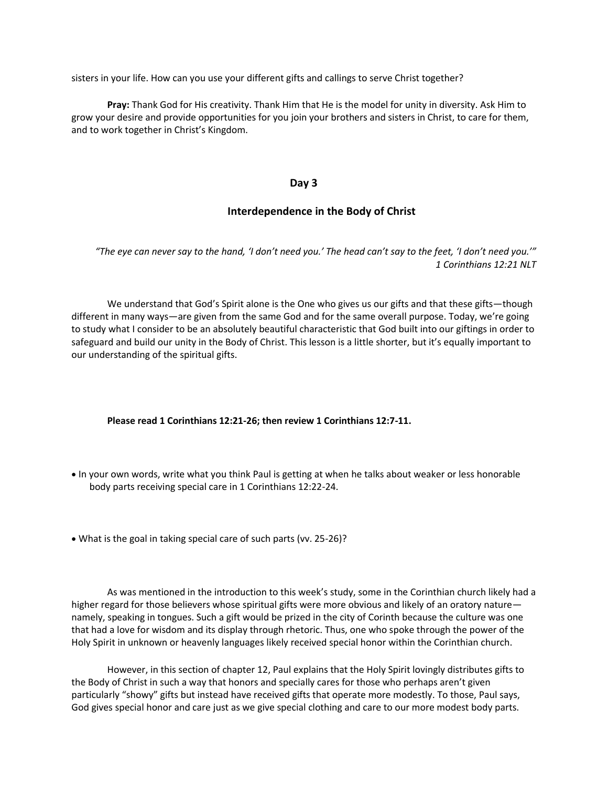sisters in your life. How can you use your different gifts and callings to serve Christ together?

**Pray:** Thank God for His creativity. Thank Him that He is the model for unity in diversity. Ask Him to grow your desire and provide opportunities for you join your brothers and sisters in Christ, to care for them, and to work together in Christ's Kingdom.

#### **Day 3**

#### **Interdependence in the Body of Christ**

*"The eye can never say to the hand, 'I don't need you.' The head can't say to the feet, 'I don't need you.'" 1 Corinthians 12:21 NLT*

We understand that God's Spirit alone is the One who gives us our gifts and that these gifts—though different in many ways—are given from the same God and for the same overall purpose. Today, we're going to study what I consider to be an absolutely beautiful characteristic that God built into our giftings in order to safeguard and build our unity in the Body of Christ. This lesson is a little shorter, but it's equally important to our understanding of the spiritual gifts.

#### **Please read 1 Corinthians 12:21-26; then review 1 Corinthians 12:7-11.**

- In your own words, write what you think Paul is getting at when he talks about weaker or less honorable body parts receiving special care in 1 Corinthians 12:22-24.
- What is the goal in taking special care of such parts (vv. 25-26)?

As was mentioned in the introduction to this week's study, some in the Corinthian church likely had a higher regard for those believers whose spiritual gifts were more obvious and likely of an oratory nature namely, speaking in tongues. Such a gift would be prized in the city of Corinth because the culture was one that had a love for wisdom and its display through rhetoric. Thus, one who spoke through the power of the Holy Spirit in unknown or heavenly languages likely received special honor within the Corinthian church.

However, in this section of chapter 12, Paul explains that the Holy Spirit lovingly distributes gifts to the Body of Christ in such a way that honors and specially cares for those who perhaps aren't given particularly "showy" gifts but instead have received gifts that operate more modestly. To those, Paul says, God gives special honor and care just as we give special clothing and care to our more modest body parts.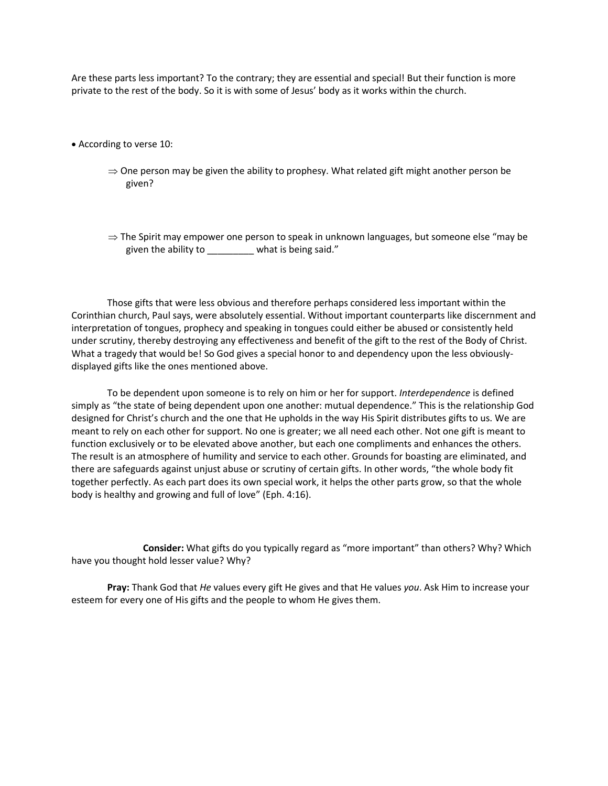Are these parts less important? To the contrary; they are essential and special! But their function is more private to the rest of the body. So it is with some of Jesus' body as it works within the church.

- According to verse 10:
	- $\Rightarrow$  One person may be given the ability to prophesy. What related gift might another person be given?
	- $\Rightarrow$  The Spirit may empower one person to speak in unknown languages, but someone else "may be given the ability to \_\_\_\_\_\_\_\_ what is being said."

Those gifts that were less obvious and therefore perhaps considered less important within the Corinthian church, Paul says, were absolutely essential. Without important counterparts like discernment and interpretation of tongues, prophecy and speaking in tongues could either be abused or consistently held under scrutiny, thereby destroying any effectiveness and benefit of the gift to the rest of the Body of Christ. What a tragedy that would be! So God gives a special honor to and dependency upon the less obviouslydisplayed gifts like the ones mentioned above.

To be dependent upon someone is to rely on him or her for support. *Interdependence* is defined simply as "the state of being dependent upon one another: mutual dependence." This is the relationship God designed for Christ's church and the one that He upholds in the way His Spirit distributes gifts to us. We are meant to rely on each other for support. No one is greater; we all need each other. Not one gift is meant to function exclusively or to be elevated above another, but each one compliments and enhances the others. The result is an atmosphere of humility and service to each other. Grounds for boasting are eliminated, and there are safeguards against unjust abuse or scrutiny of certain gifts. In other words, "the whole body fit together perfectly. As each part does its own special work, it helps the other parts grow, so that the whole body is healthy and growing and full of love" (Eph. 4:16).

**Consider:** What gifts do you typically regard as "more important" than others? Why? Which have you thought hold lesser value? Why?

**Pray:** Thank God that *He* values every gift He gives and that He values *you*. Ask Him to increase your esteem for every one of His gifts and the people to whom He gives them.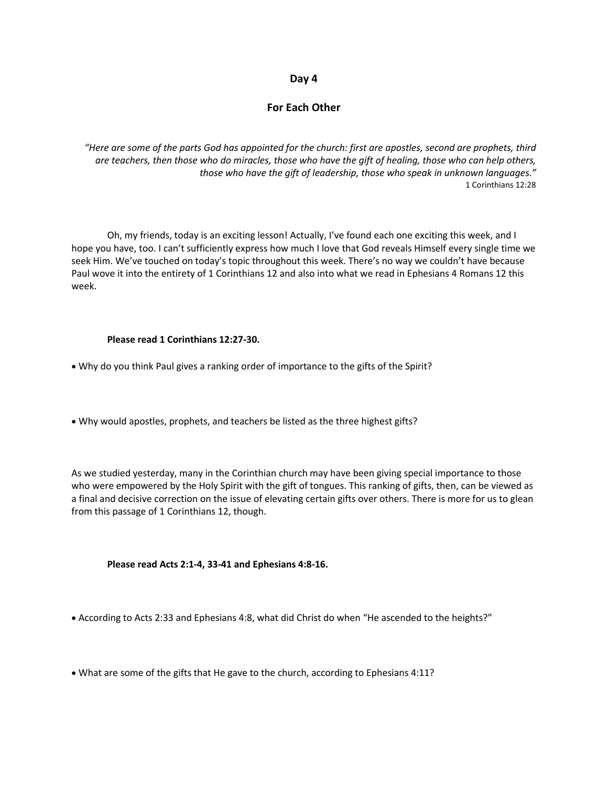#### **Day 4**

#### **For Each Other**

*"Here are some of the parts God has appointed for the church: first are apostles, second are prophets, third are teachers, then those who do miracles, those who have the gift of healing, those who can help others, those who have the gift of leadership, those who speak in unknown languages."* 1 Corinthians 12:28

Oh, my friends, today is an exciting lesson! Actually, I've found each one exciting this week, and I hope you have, too. I can't sufficiently express how much I love that God reveals Himself every single time we seek Him. We've touched on today's topic throughout this week. There's no way we couldn't have because Paul wove it into the entirety of 1 Corinthians 12 and also into what we read in Ephesians 4 Romans 12 this week.

#### **Please read 1 Corinthians 12:27-30.**

- Why do you think Paul gives a ranking order of importance to the gifts of the Spirit?
- Why would apostles, prophets, and teachers be listed as the three highest gifts?

As we studied yesterday, many in the Corinthian church may have been giving special importance to those who were empowered by the Holy Spirit with the gift of tongues. This ranking of gifts, then, can be viewed as a final and decisive correction on the issue of elevating certain gifts over others. There is more for us to glean from this passage of 1 Corinthians 12, though.

#### **Please read Acts 2:1-4, 33-41 and Ephesians 4:8-16.**

- According to Acts 2:33 and Ephesians 4:8, what did Christ do when "He ascended to the heights?"
- What are some of the gifts that He gave to the church, according to Ephesians 4:11?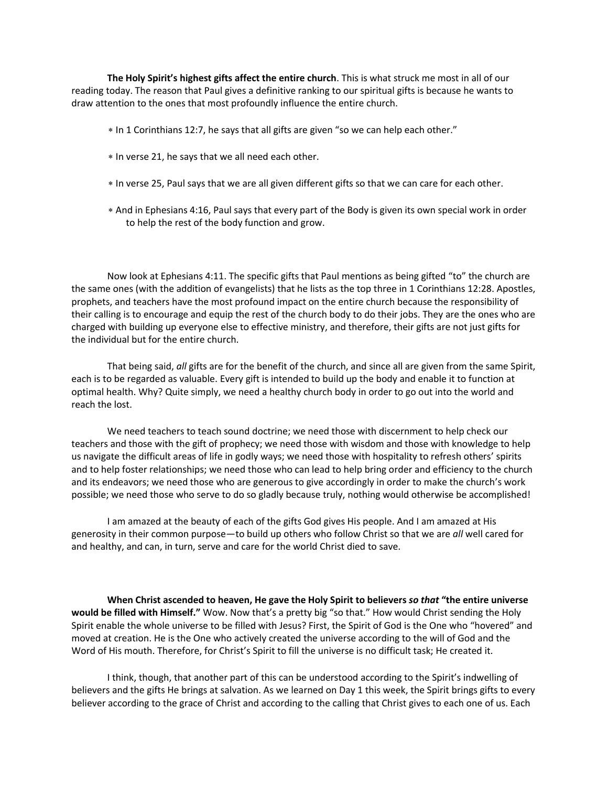**The Holy Spirit's highest gifts affect the entire church**. This is what struck me most in all of our reading today. The reason that Paul gives a definitive ranking to our spiritual gifts is because he wants to draw attention to the ones that most profoundly influence the entire church.

- \* In 1 Corinthians 12:7, he says that all gifts are given "so we can help each other."
- In verse 21, he says that we all need each other.
- In verse 25, Paul says that we are all given different gifts so that we can care for each other.
- And in Ephesians 4:16, Paul says that every part of the Body is given its own special work in order to help the rest of the body function and grow.

Now look at Ephesians 4:11. The specific gifts that Paul mentions as being gifted "to" the church are the same ones (with the addition of evangelists) that he lists as the top three in 1 Corinthians 12:28. Apostles, prophets, and teachers have the most profound impact on the entire church because the responsibility of their calling is to encourage and equip the rest of the church body to do their jobs. They are the ones who are charged with building up everyone else to effective ministry, and therefore, their gifts are not just gifts for the individual but for the entire church.

That being said, *all* gifts are for the benefit of the church, and since all are given from the same Spirit, each is to be regarded as valuable. Every gift is intended to build up the body and enable it to function at optimal health. Why? Quite simply, we need a healthy church body in order to go out into the world and reach the lost.

We need teachers to teach sound doctrine; we need those with discernment to help check our teachers and those with the gift of prophecy; we need those with wisdom and those with knowledge to help us navigate the difficult areas of life in godly ways; we need those with hospitality to refresh others' spirits and to help foster relationships; we need those who can lead to help bring order and efficiency to the church and its endeavors; we need those who are generous to give accordingly in order to make the church's work possible; we need those who serve to do so gladly because truly, nothing would otherwise be accomplished!

I am amazed at the beauty of each of the gifts God gives His people. And I am amazed at His generosity in their common purpose—to build up others who follow Christ so that we are *all* well cared for and healthy, and can, in turn, serve and care for the world Christ died to save.

**When Christ ascended to heaven, He gave the Holy Spirit to believers** *so that* **"the entire universe would be filled with Himself."** Wow. Now that's a pretty big "so that." How would Christ sending the Holy Spirit enable the whole universe to be filled with Jesus? First, the Spirit of God is the One who "hovered" and moved at creation. He is the One who actively created the universe according to the will of God and the Word of His mouth. Therefore, for Christ's Spirit to fill the universe is no difficult task; He created it.

I think, though, that another part of this can be understood according to the Spirit's indwelling of believers and the gifts He brings at salvation. As we learned on Day 1 this week, the Spirit brings gifts to every believer according to the grace of Christ and according to the calling that Christ gives to each one of us. Each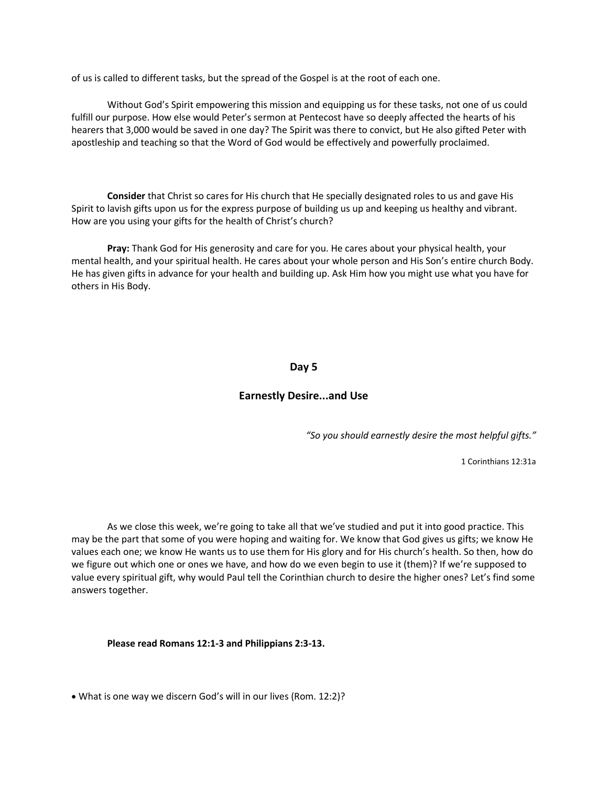of us is called to different tasks, but the spread of the Gospel is at the root of each one.

Without God's Spirit empowering this mission and equipping us for these tasks, not one of us could fulfill our purpose. How else would Peter's sermon at Pentecost have so deeply affected the hearts of his hearers that 3,000 would be saved in one day? The Spirit was there to convict, but He also gifted Peter with apostleship and teaching so that the Word of God would be effectively and powerfully proclaimed.

**Consider** that Christ so cares for His church that He specially designated roles to us and gave His Spirit to lavish gifts upon us for the express purpose of building us up and keeping us healthy and vibrant. How are you using your gifts for the health of Christ's church?

**Pray:** Thank God for His generosity and care for you. He cares about your physical health, your mental health, and your spiritual health. He cares about your whole person and His Son's entire church Body. He has given gifts in advance for your health and building up. Ask Him how you might use what you have for others in His Body.

#### **Day 5**

#### **Earnestly Desire...and Use**

*"So you should earnestly desire the most helpful gifts."*

1 Corinthians 12:31a

As we close this week, we're going to take all that we've studied and put it into good practice. This may be the part that some of you were hoping and waiting for. We know that God gives us gifts; we know He values each one; we know He wants us to use them for His glory and for His church's health. So then, how do we figure out which one or ones we have, and how do we even begin to use it (them)? If we're supposed to value every spiritual gift, why would Paul tell the Corinthian church to desire the higher ones? Let's find some answers together.

**Please read Romans 12:1-3 and Philippians 2:3-13.**

• What is one way we discern God's will in our lives (Rom. 12:2)?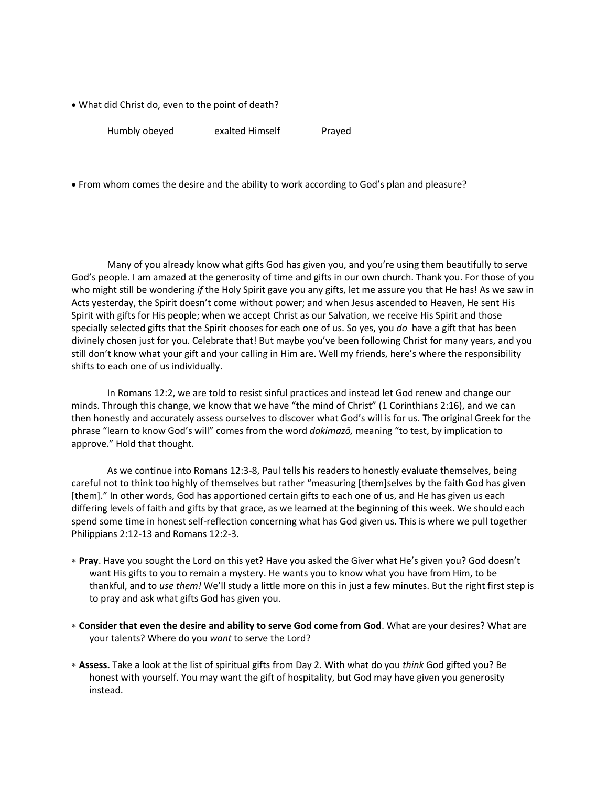• What did Christ do, even to the point of death?

Humbly obeyed exalted Himself Prayed

• From whom comes the desire and the ability to work according to God's plan and pleasure?

Many of you already know what gifts God has given you, and you're using them beautifully to serve God's people. I am amazed at the generosity of time and gifts in our own church. Thank you. For those of you who might still be wondering *if* the Holy Spirit gave you any gifts, let me assure you that He has! As we saw in Acts yesterday, the Spirit doesn't come without power; and when Jesus ascended to Heaven, He sent His Spirit with gifts for His people; when we accept Christ as our Salvation, we receive His Spirit and those specially selected gifts that the Spirit chooses for each one of us. So yes, you *do* have a gift that has been divinely chosen just for you. Celebrate that! But maybe you've been following Christ for many years, and you still don't know what your gift and your calling in Him are. Well my friends, here's where the responsibility shifts to each one of us individually.

In Romans 12:2, we are told to resist sinful practices and instead let God renew and change our minds. Through this change, we know that we have "the mind of Christ" (1 Corinthians 2:16), and we can then honestly and accurately assess ourselves to discover what God's will is for us. The original Greek for the phrase "learn to know God's will" comes from the word *dokimazō,* meaning "to test, by implication to approve." Hold that thought.

As we continue into Romans 12:3-8, Paul tells his readers to honestly evaluate themselves, being careful not to think too highly of themselves but rather "measuring [them]selves by the faith God has given [them]." In other words, God has apportioned certain gifts to each one of us, and He has given us each differing levels of faith and gifts by that grace, as we learned at the beginning of this week. We should each spend some time in honest self-reflection concerning what has God given us. This is where we pull together Philippians 2:12-13 and Romans 12:2-3.

- **Pray**. Have you sought the Lord on this yet? Have you asked the Giver what He's given you? God doesn't want His gifts to you to remain a mystery. He wants you to know what you have from Him, to be thankful, and to *use them!* We'll study a little more on this in just a few minutes. But the right first step is to pray and ask what gifts God has given you.
- **Consider that even the desire and ability to serve God come from God**. What are your desires? What are your talents? Where do you *want* to serve the Lord?
- **Assess.** Take a look at the list of spiritual gifts from Day 2. With what do you *think* God gifted you? Be honest with yourself. You may want the gift of hospitality, but God may have given you generosity instead.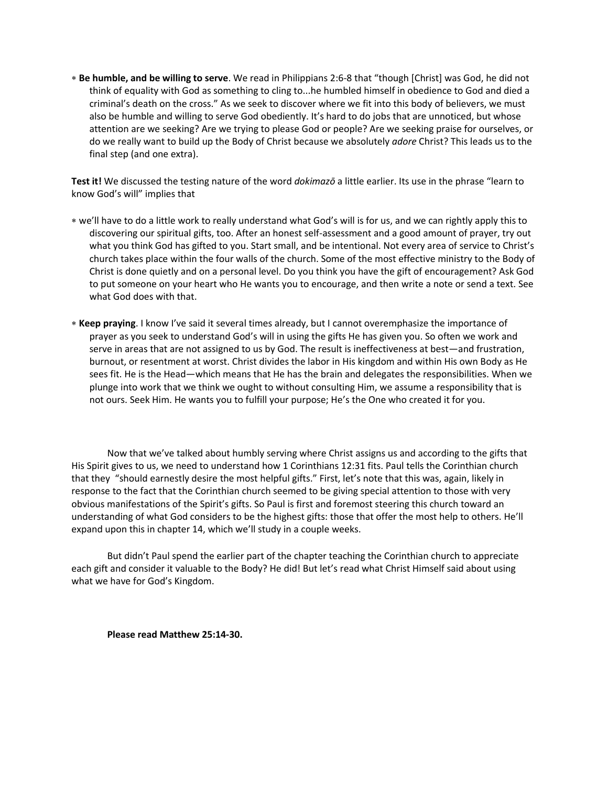**Be humble, and be willing to serve**. We read in Philippians 2:6-8 that "though [Christ] was God, he did not think of equality with God as something to cling to...he humbled himself in obedience to God and died a criminal's death on the cross." As we seek to discover where we fit into this body of believers, we must also be humble and willing to serve God obediently. It's hard to do jobs that are unnoticed, but whose attention are we seeking? Are we trying to please God or people? Are we seeking praise for ourselves, or do we really want to build up the Body of Christ because we absolutely *adore* Christ? This leads us to the final step (and one extra).

**Test it!** We discussed the testing nature of the word *dokimazō* a little earlier. Its use in the phrase "learn to know God's will" implies that

- we'll have to do a little work to really understand what God's will is for us, and we can rightly apply this to discovering our spiritual gifts, too. After an honest self-assessment and a good amount of prayer, try out what you think God has gifted to you. Start small, and be intentional. Not every area of service to Christ's church takes place within the four walls of the church. Some of the most effective ministry to the Body of Christ is done quietly and on a personal level. Do you think you have the gift of encouragement? Ask God to put someone on your heart who He wants you to encourage, and then write a note or send a text. See what God does with that.
- **Keep praying**. I know I've said it several times already, but I cannot overemphasize the importance of prayer as you seek to understand God's will in using the gifts He has given you. So often we work and serve in areas that are not assigned to us by God. The result is ineffectiveness at best—and frustration, burnout, or resentment at worst. Christ divides the labor in His kingdom and within His own Body as He sees fit. He is the Head—which means that He has the brain and delegates the responsibilities. When we plunge into work that we think we ought to without consulting Him, we assume a responsibility that is not ours. Seek Him. He wants you to fulfill your purpose; He's the One who created it for you.

Now that we've talked about humbly serving where Christ assigns us and according to the gifts that His Spirit gives to us, we need to understand how 1 Corinthians 12:31 fits. Paul tells the Corinthian church that they "should earnestly desire the most helpful gifts." First, let's note that this was, again, likely in response to the fact that the Corinthian church seemed to be giving special attention to those with very obvious manifestations of the Spirit's gifts. So Paul is first and foremost steering this church toward an understanding of what God considers to be the highest gifts: those that offer the most help to others. He'll expand upon this in chapter 14, which we'll study in a couple weeks.

But didn't Paul spend the earlier part of the chapter teaching the Corinthian church to appreciate each gift and consider it valuable to the Body? He did! But let's read what Christ Himself said about using what we have for God's Kingdom.

**Please read Matthew 25:14-30.**